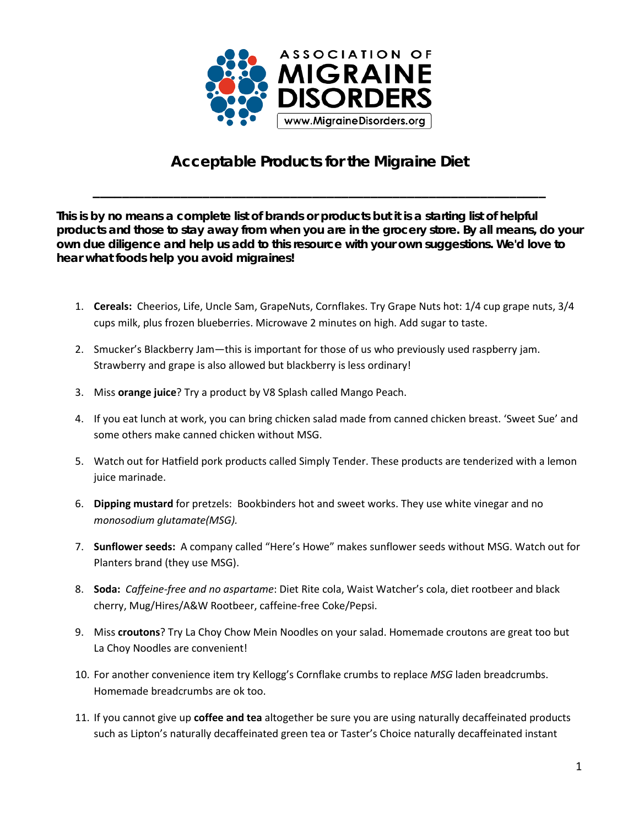

## **Acceptable Products for the Migraine Diet**

**\_\_\_\_\_\_\_\_\_\_\_\_\_\_\_\_\_\_\_\_\_\_\_\_\_\_\_\_\_\_\_\_\_\_\_\_\_\_\_\_\_\_\_\_\_\_\_\_\_\_\_\_\_\_\_\_\_\_\_\_\_\_**

**This is by no means a complete list of brands or products but it is a starting list of helpful products and those to stay away from when you are in the grocery store. By all means, do your own due diligence and help us add to this resource with your own suggestions. We'd love to hear what foods help you avoid migraines!**

- 1. **Cereals:** Cheerios, Life, Uncle Sam, GrapeNuts, Cornflakes. Try Grape Nuts hot: 1/4 cup grape nuts, 3/4 cups milk, plus frozen blueberries. Microwave 2 minutes on high. Add sugar to taste.
- 2. Smucker's Blackberry Jam—this is important for those of us who previously used raspberry jam. Strawberry and grape is also allowed but blackberry is less ordinary!
- 3. Miss **orange juice**? Try a product by V8 Splash called Mango Peach.
- 4. If you eat lunch at work, you can bring chicken salad made from canned chicken breast. 'Sweet Sue' and some others make canned chicken without MSG.
- 5. Watch out for Hatfield pork products called Simply Tender. These products are tenderized with a lemon juice marinade.
- 6. **Dipping mustard** for pretzels: Bookbinders hot and sweet works. They use white vinegar and no *monosodium glutamate(MSG).*
- 7. **Sunflower seeds:** A company called "Here's Howe" makes sunflower seeds without MSG. Watch out for Planters brand (they use MSG).
- 8. **Soda:** *Caffeine-free and no aspartame*: Diet Rite cola, Waist Watcher's cola, diet rootbeer and black cherry, Mug/Hires/A&W Rootbeer, caffeine-free Coke/Pepsi.
- 9. Miss **croutons**? Try La Choy Chow Mein Noodles on your salad. Homemade croutons are great too but La Choy Noodles are convenient!
- 10. For another convenience item try Kellogg's Cornflake crumbs to replace *MSG* laden breadcrumbs. Homemade breadcrumbs are ok too.
- 11. If you cannot give up **coffee and tea** altogether be sure you are using naturally decaffeinated products such as Lipton's naturally decaffeinated green tea or Taster's Choice naturally decaffeinated instant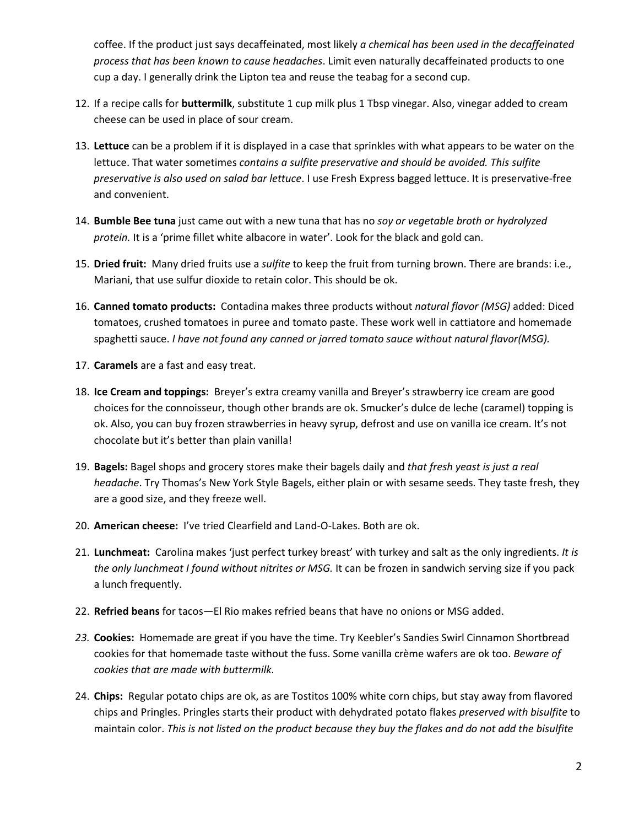coffee. If the product just says decaffeinated, most likely *a chemical has been used in the decaffeinated process that has been known to cause headaches*. Limit even naturally decaffeinated products to one cup a day. I generally drink the Lipton tea and reuse the teabag for a second cup.

- 12. If a recipe calls for **buttermilk**, substitute 1 cup milk plus 1 Tbsp vinegar. Also, vinegar added to cream cheese can be used in place of sour cream.
- 13. **Lettuce** can be a problem if it is displayed in a case that sprinkles with what appears to be water on the lettuce. That water sometimes *contains a sulfite preservative and should be avoided. This sulfite preservative is also used on salad bar lettuce*. I use Fresh Express bagged lettuce. It is preservative-free and convenient.
- 14. **Bumble Bee tuna** just came out with a new tuna that has no *soy or vegetable broth or hydrolyzed protein.* It is a 'prime fillet white albacore in water'. Look for the black and gold can.
- 15. **Dried fruit:** Many dried fruits use a *sulfite* to keep the fruit from turning brown. There are brands: i.e., Mariani, that use sulfur dioxide to retain color. This should be ok.
- 16. **Canned tomato products:** Contadina makes three products without *natural flavor (MSG)* added: Diced tomatoes, crushed tomatoes in puree and tomato paste. These work well in cattiatore and homemade spaghetti sauce. *I have not found any canned or jarred tomato sauce without natural flavor(MSG).*
- 17. **Caramels** are a fast and easy treat.
- 18. **Ice Cream and toppings:** Breyer's extra creamy vanilla and Breyer's strawberry ice cream are good choices for the connoisseur, though other brands are ok. Smucker's dulce de leche (caramel) topping is ok. Also, you can buy frozen strawberries in heavy syrup, defrost and use on vanilla ice cream. It's not chocolate but it's better than plain vanilla!
- 19. **Bagels:** Bagel shops and grocery stores make their bagels daily and *that fresh yeast is just a real headache*. Try Thomas's New York Style Bagels, either plain or with sesame seeds. They taste fresh, they are a good size, and they freeze well.
- 20. **American cheese:** I've tried Clearfield and Land-O-Lakes. Both are ok.
- 21. **Lunchmeat:** Carolina makes 'just perfect turkey breast' with turkey and salt as the only ingredients. *It is the only lunchmeat I found without nitrites or MSG.* It can be frozen in sandwich serving size if you pack a lunch frequently.
- 22. **Refried beans** for tacos—El Rio makes refried beans that have no onions or MSG added.
- *23.* **Cookies:** Homemade are great if you have the time. Try Keebler's Sandies Swirl Cinnamon Shortbread cookies for that homemade taste without the fuss. Some vanilla crème wafers are ok too. *Beware of cookies that are made with buttermilk.*
- 24. **Chips:** Regular potato chips are ok, as are Tostitos 100% white corn chips, but stay away from flavored chips and Pringles. Pringles starts their product with dehydrated potato flakes *preserved with bisulfite* to maintain color. *This is not listed on the product because they buy the flakes and do not add the bisulfite*